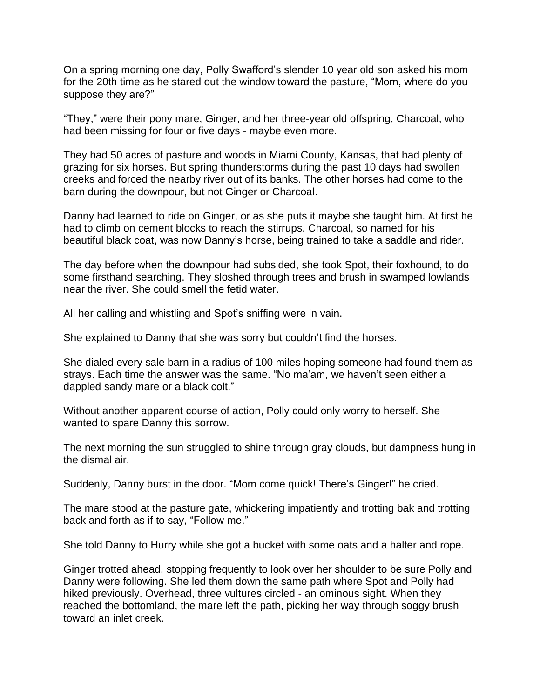On a spring morning one day, Polly Swafford's slender 10 year old son asked his mom for the 20th time as he stared out the window toward the pasture, "Mom, where do you suppose they are?"

"They," were their pony mare, Ginger, and her three-year old offspring, Charcoal, who had been missing for four or five days - maybe even more.

They had 50 acres of pasture and woods in Miami County, Kansas, that had plenty of grazing for six horses. But spring thunderstorms during the past 10 days had swollen creeks and forced the nearby river out of its banks. The other horses had come to the barn during the downpour, but not Ginger or Charcoal.

Danny had learned to ride on Ginger, or as she puts it maybe she taught him. At first he had to climb on cement blocks to reach the stirrups. Charcoal, so named for his beautiful black coat, was now Danny's horse, being trained to take a saddle and rider.

The day before when the downpour had subsided, she took Spot, their foxhound, to do some firsthand searching. They sloshed through trees and brush in swamped lowlands near the river. She could smell the fetid water.

All her calling and whistling and Spot's sniffing were in vain.

She explained to Danny that she was sorry but couldn't find the horses.

She dialed every sale barn in a radius of 100 miles hoping someone had found them as strays. Each time the answer was the same. "No ma'am, we haven't seen either a dappled sandy mare or a black colt."

Without another apparent course of action, Polly could only worry to herself. She wanted to spare Danny this sorrow.

The next morning the sun struggled to shine through gray clouds, but dampness hung in the dismal air.

Suddenly, Danny burst in the door. "Mom come quick! There's Ginger!" he cried.

The mare stood at the pasture gate, whickering impatiently and trotting bak and trotting back and forth as if to say, "Follow me."

She told Danny to Hurry while she got a bucket with some oats and a halter and rope.

Ginger trotted ahead, stopping frequently to look over her shoulder to be sure Polly and Danny were following. She led them down the same path where Spot and Polly had hiked previously. Overhead, three vultures circled - an ominous sight. When they reached the bottomland, the mare left the path, picking her way through soggy brush toward an inlet creek.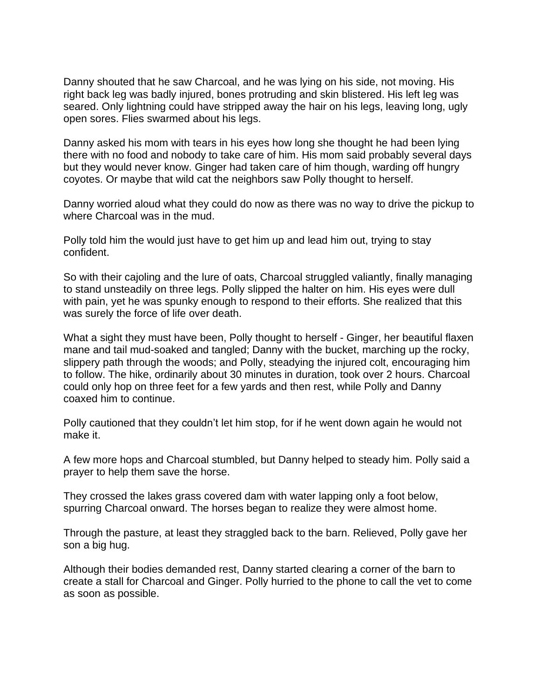Danny shouted that he saw Charcoal, and he was lying on his side, not moving. His right back leg was badly injured, bones protruding and skin blistered. His left leg was seared. Only lightning could have stripped away the hair on his legs, leaving long, ugly open sores. Flies swarmed about his legs.

Danny asked his mom with tears in his eyes how long she thought he had been lying there with no food and nobody to take care of him. His mom said probably several days but they would never know. Ginger had taken care of him though, warding off hungry coyotes. Or maybe that wild cat the neighbors saw Polly thought to herself.

Danny worried aloud what they could do now as there was no way to drive the pickup to where Charcoal was in the mud.

Polly told him the would just have to get him up and lead him out, trying to stay confident.

So with their cajoling and the lure of oats, Charcoal struggled valiantly, finally managing to stand unsteadily on three legs. Polly slipped the halter on him. His eyes were dull with pain, yet he was spunky enough to respond to their efforts. She realized that this was surely the force of life over death.

What a sight they must have been, Polly thought to herself - Ginger, her beautiful flaxen mane and tail mud-soaked and tangled; Danny with the bucket, marching up the rocky, slippery path through the woods; and Polly, steadying the injured colt, encouraging him to follow. The hike, ordinarily about 30 minutes in duration, took over 2 hours. Charcoal could only hop on three feet for a few yards and then rest, while Polly and Danny coaxed him to continue.

Polly cautioned that they couldn't let him stop, for if he went down again he would not make it.

A few more hops and Charcoal stumbled, but Danny helped to steady him. Polly said a prayer to help them save the horse.

They crossed the lakes grass covered dam with water lapping only a foot below, spurring Charcoal onward. The horses began to realize they were almost home.

Through the pasture, at least they straggled back to the barn. Relieved, Polly gave her son a big hug.

Although their bodies demanded rest, Danny started clearing a corner of the barn to create a stall for Charcoal and Ginger. Polly hurried to the phone to call the vet to come as soon as possible.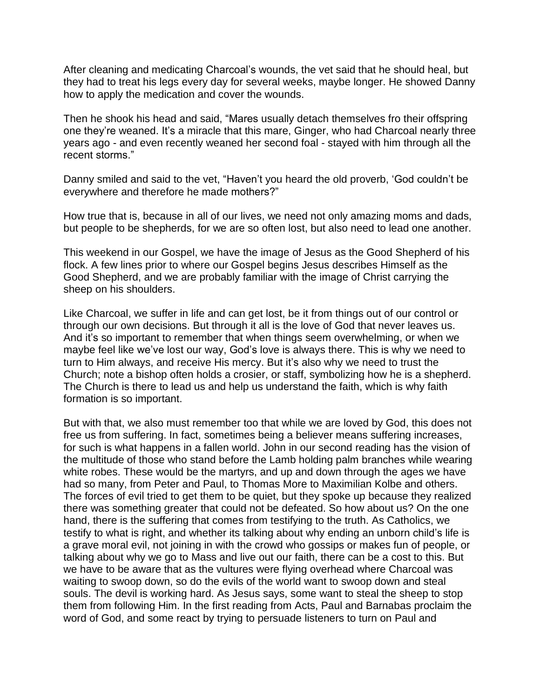After cleaning and medicating Charcoal's wounds, the vet said that he should heal, but they had to treat his legs every day for several weeks, maybe longer. He showed Danny how to apply the medication and cover the wounds.

Then he shook his head and said, "Mares usually detach themselves fro their offspring one they're weaned. It's a miracle that this mare, Ginger, who had Charcoal nearly three years ago - and even recently weaned her second foal - stayed with him through all the recent storms."

Danny smiled and said to the vet, "Haven't you heard the old proverb, 'God couldn't be everywhere and therefore he made mothers?"

How true that is, because in all of our lives, we need not only amazing moms and dads, but people to be shepherds, for we are so often lost, but also need to lead one another.

This weekend in our Gospel, we have the image of Jesus as the Good Shepherd of his flock. A few lines prior to where our Gospel begins Jesus describes Himself as the Good Shepherd, and we are probably familiar with the image of Christ carrying the sheep on his shoulders.

Like Charcoal, we suffer in life and can get lost, be it from things out of our control or through our own decisions. But through it all is the love of God that never leaves us. And it's so important to remember that when things seem overwhelming, or when we maybe feel like we've lost our way, God's love is always there. This is why we need to turn to Him always, and receive His mercy. But it's also why we need to trust the Church; note a bishop often holds a crosier, or staff, symbolizing how he is a shepherd. The Church is there to lead us and help us understand the faith, which is why faith formation is so important.

But with that, we also must remember too that while we are loved by God, this does not free us from suffering. In fact, sometimes being a believer means suffering increases, for such is what happens in a fallen world. John in our second reading has the vision of the multitude of those who stand before the Lamb holding palm branches while wearing white robes. These would be the martyrs, and up and down through the ages we have had so many, from Peter and Paul, to Thomas More to Maximilian Kolbe and others. The forces of evil tried to get them to be quiet, but they spoke up because they realized there was something greater that could not be defeated. So how about us? On the one hand, there is the suffering that comes from testifying to the truth. As Catholics, we testify to what is right, and whether its talking about why ending an unborn child's life is a grave moral evil, not joining in with the crowd who gossips or makes fun of people, or talking about why we go to Mass and live out our faith, there can be a cost to this. But we have to be aware that as the vultures were flying overhead where Charcoal was waiting to swoop down, so do the evils of the world want to swoop down and steal souls. The devil is working hard. As Jesus says, some want to steal the sheep to stop them from following Him. In the first reading from Acts, Paul and Barnabas proclaim the word of God, and some react by trying to persuade listeners to turn on Paul and